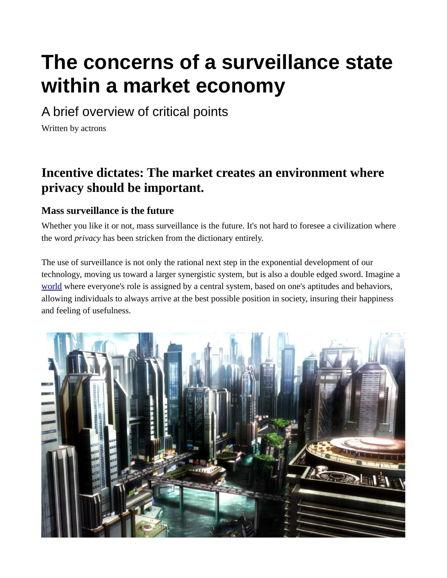# **The concerns of a surveillance state within a market economy**

A brief overview of critical points

Written by actrons

#### **Incentive dictates: The market creates an environment where privacy should be important.**

#### **Mass surveillance is the future**

Whether you like it or not, mass surveillance is the future. It's not hard to foresee a civilization where the word *privacy* has been stricken from the dictionary entirely.

The use of surveillance is not only the rational next step in the exponential development of our technology, moving us toward a larger synergistic system, but is also a double edged sword. Imagine a [world](http://192.168.178.88/privacy.html#world) where everyone's role is assigned by a central system, based on one's aptitudes and behaviors, allowing individuals to always arrive at the best possible position in society, insuring their happiness and feeling of usefulness.

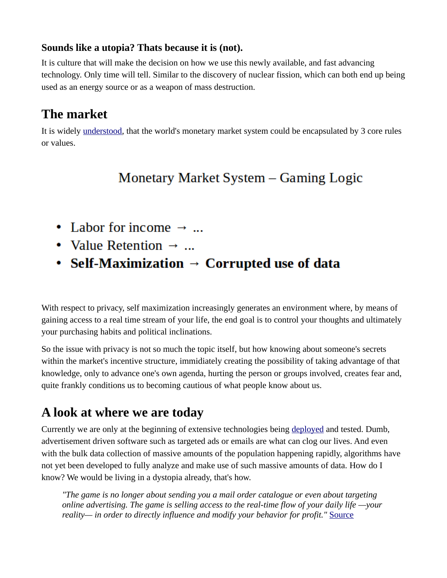#### **Sounds like a utopia? Thats because it is (not).**

It is culture that will make the decision on how we use this newly available, and fast advancing technology. Only time will tell. Similar to the discovery of nuclear fission, which can both end up being used as an energy source or as a weapon of mass destruction.

## **The market**

It is widely [understood,](https://en.wikipedia.org/wiki/Invisible_hand) that the world's monetary market system could be encapsulated by 3 core rules or values.

# Monetary Market System – Gaming Logic

- Labor for income  $\rightarrow$  ...
- Value Retention  $\rightarrow$  ...
- Self-Maximization  $\rightarrow$  Corrupted use of data

With respect to privacy, self maximization increasingly generates an environment where, by means of gaining access to a real time stream of your life, the end goal is to control your thoughts and ultimately your purchasing habits and political inclinations.

So the issue with privacy is not so much the topic itself, but how knowing about someone's secrets within the market's incentive structure, immidiately creating the possibility of taking advantage of that knowledge, only to advance one's own agenda, hurting the person or groups involved, creates fear and, quite frankly conditions us to becoming cautious of what people know about us.

## **A look at where we are today**

Currently we are only at the beginning of extensive technologies being [deployed](http://www.geek.com/apps/nsa-data-center-will-use-1-7-million-gallons-of-water-per-day-to-read-your-email-1562152/?r=2) and tested. Dumb, advertisement driven software such as targeted ads or emails are what can clog our lives. And even with the bulk data collection of massive amounts of the population happening rapidly, algorithms have not yet been developed to fully analyze and make use of such massive amounts of data. How do I know? We would be living in a dystopia already, that's how.

*"The game is no longer about sending you a mail order catalogue or even about targeting online advertising. The game is selling access to the real-time flow of your daily life —your reality— in order to directly influence and modify your behavior for profit."* [Source](http://www.faz.net/aktuell/feuilleton/debatten/the-digital-debate/shoshana-zuboff-secrets-of-surveillance-capitalism-14103616-p2.html?printPagedArticle=true)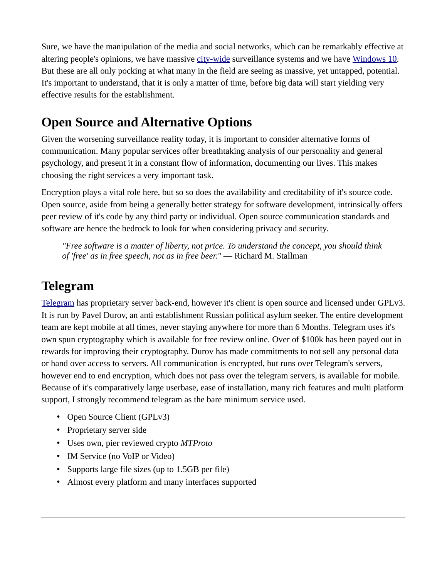Sure, we have the manipulation of the media and social networks, which can be remarkably effective at altering people's opinions, we have massive [city-wide](https://www.youtube.com/watch?v=QGxNyaXfJsA) surveillance systems and we have [Windows 10.](http://192.168.178.88/windows10.html) But these are all only pocking at what many in the field are seeing as massive, yet untapped, potential. It's important to understand, that it is only a matter of time, before big data will start yielding very effective results for the establishment.

# **Open Source and Alternative Options**

Given the worsening surveillance reality today, it is important to consider alternative forms of communication. Many popular services offer breathtaking analysis of our personality and general psychology, and present it in a constant flow of information, documenting our lives. This makes choosing the right services a very important task.

Encryption plays a vital role here, but so so does the availability and creditability of it's source code. Open source, aside from being a generally better strategy for software development, intrinsically offers peer review of it's code by any third party or individual. Open source communication standards and software are hence the bedrock to look for when considering privacy and security.

*"Free software is a matter of liberty, not price. To understand the concept, you should think of 'free' as in free speech, not as in free beer."* — Richard M. Stallman

# **Telegram**

[Telegram](https://telegram.org/) has proprietary server back-end, however it's client is open source and licensed under GPLv3. It is run by Pavel Durov, an anti establishment Russian political asylum seeker. The entire development team are kept mobile at all times, never staying anywhere for more than 6 Months. Telegram uses it's own spun cryptography which is available for free review online. Over of \$100k has been payed out in rewards for improving their cryptography. Durov has made commitments to not sell any personal data or hand over access to servers. All communication is encrypted, but runs over Telegram's servers, however end to end encryption, which does not pass over the telegram servers, is available for mobile. Because of it's comparatively large userbase, ease of installation, many rich features and multi platform support, I strongly recommend telegram as the bare minimum service used.

- Open Source Client (GPLv3)
- Proprietary server side
- Uses own, pier reviewed crypto *MTProto*
- IM Service (no VoIP or Video)
- Supports large file sizes (up to 1.5GB per file)
- Almost every platform and many interfaces supported